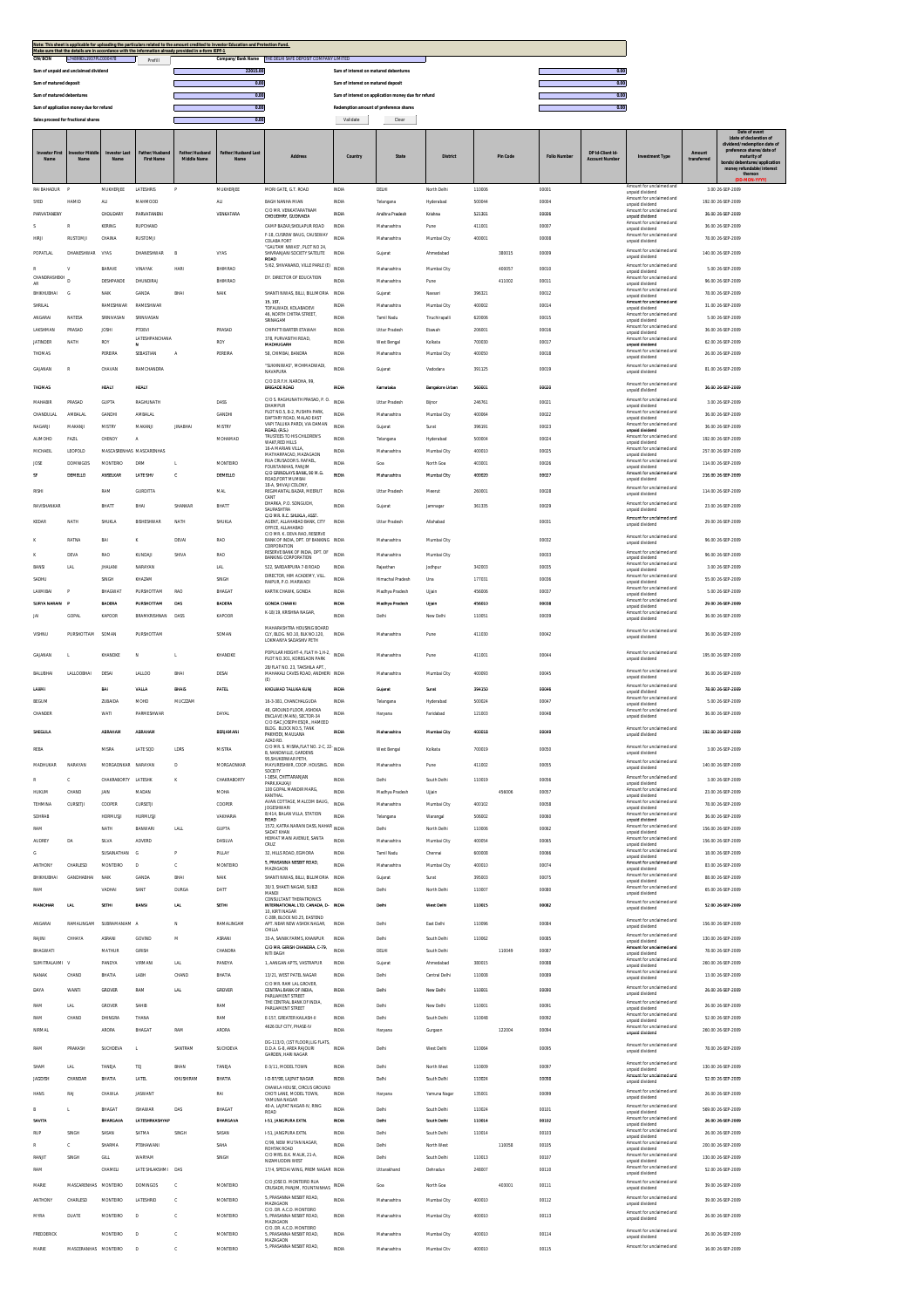| Note: This sheet is applicable for uploading the particulars related to the amount credited to Investor Education and Protection Fund.<br>Make sure that the details are in accordance with the information already provided in e-form IEPF-1 |                   |                                                     |      |  |  |  |  |  |  |  |  |
|-----------------------------------------------------------------------------------------------------------------------------------------------------------------------------------------------------------------------------------------------|-------------------|-----------------------------------------------------|------|--|--|--|--|--|--|--|--|
| L74899DL1937PLC000478<br><b>CIN/BCIN</b><br>Prefill                                                                                                                                                                                           | Company/Bank Name | THE DELHI SAFE DEPOSIT COMPANY LIMITED              |      |  |  |  |  |  |  |  |  |
| Sum of unpaid and unclaimed dividend                                                                                                                                                                                                          | 22015.00          | Sum of interest on matured debentures               | 0.00 |  |  |  |  |  |  |  |  |
| Sum of matured deposit                                                                                                                                                                                                                        | 0.01              | Sum of interest on matured deposit                  | 0.00 |  |  |  |  |  |  |  |  |
| Sum of matured debentures                                                                                                                                                                                                                     | 0.01              | Sum of interest on application money due for refund | 0.00 |  |  |  |  |  |  |  |  |
| Sum of application money due for refund                                                                                                                                                                                                       |                   | Redemption amount of preference shares              | 0.00 |  |  |  |  |  |  |  |  |
| Sales proceed for fractional shares                                                                                                                                                                                                           |                   | Clear<br>Validate                                   |      |  |  |  |  |  |  |  |  |

|                             |                      |                     |                           |                          |                            |                                                                                      |                            |                         |                           |                  |          |                    |                                           |                                                                         |             | Date of event<br>(date of declaration of<br>nd/redemption date of |
|-----------------------------|----------------------|---------------------|---------------------------|--------------------------|----------------------------|--------------------------------------------------------------------------------------|----------------------------|-------------------------|---------------------------|------------------|----------|--------------------|-------------------------------------------|-------------------------------------------------------------------------|-------------|-------------------------------------------------------------------|
| nvestor First<br><b>Nat</b> | Nam                  | vestor Las<br>Nat   | <b>First Name</b>         | er/Husban<br>Middle Name | Father/Husband Las<br>Name | <b>Address</b>                                                                       | Country                    | State                   | <b>District</b>           |                  | Pin Code | <b>Folio Numbe</b> | DP Id-Client Id-<br><b>Account Number</b> | <b>Investment Type</b>                                                  | transferred | preference shares/date of<br>maturity of                          |
|                             |                      |                     |                           |                          |                            |                                                                                      |                            |                         |                           |                  |          |                    |                                           |                                                                         |             | entures/application<br>money refundable/interest<br>thereon       |
| <b>RAI BAHADUR</b>          | $\circ$              | MUKHERJEE           | LATESHRIS                 |                          | MUKHERJEE                  | MORI GATE, G.T. ROAD                                                                 | <b>INDM</b>                | DELHI                   | North Delhi               | 110006           |          | 00001              |                                           | Amount for unclaimed and                                                |             | 3.00 26-SEP-2009                                                  |
| SYED                        | HAMID                | ALI                 | MAHMOOD                   |                          | ALI                        | BAGH NANHA MIAN                                                                      | <b>INDM</b>                | Telangana               | Hyderabad                 | 500044           |          | 00004              |                                           | unpaid dividend<br>Amount for unclaimed and<br>unpaid dividend          |             | 192.00 26-SEP-2009                                                |
| PARVATANENY                 |                      | CHOUDARY            | PARVATANENI               |                          | VENKATARA                  | C/O MR. VENKATARATNAM<br>CHOUDHRY, GUDIVADA                                          | INDM                       | Andhra Pradesh          | Krishna                   | 521301           |          | 0000               |                                           | Amount for unclaimed and<br>unpaid dividend                             |             | 36.00 26-SEP-2009                                                 |
|                             |                      | KERING              | RUPCHAND                  |                          |                            | CAMP BAZAR, SHOLAPUR ROAD<br>F-18, CUSROW BAUG, CAUSEWAY                             | <b>INDM</b>                | Maharashtra             | Pune                      | 411001           |          | 00007              |                                           | Amount for unclaimed and<br>unpaid dividend                             |             | 36.00 26-SEP-2009                                                 |
| <b>HIRA</b>                 | <b>RUSTOMJI</b>      | CHAINA              | <b>RUSTOMI</b>            |                          |                            | COLABA FORT<br>"GAUTAM NIWAS". PLOT NO 24.                                           | <b>INDIA</b>               | Maharashtra             | Mumbai City               | 400001           |          | 00008              |                                           | Amount for unclaimed and<br>unpaid dividend                             |             | 78.00 26-SEP-2009                                                 |
| POPATLAL                    | DHANESHWAR           | VYAS                | DHANESHWAR                | B                        | VYAS                       | SHIVRANJANI SOCIETY SATELITE<br>ROAD                                                 | <b>INDV</b>                | Gujarat                 | Ahmedabad                 |                  | 380015   | 00009              |                                           | Amount for unclaimed and<br>unpaid dividend                             |             | 140.00 26-SEP-2009                                                |
| CHANDRASHEKH                | v                    | BARAVE              | VINAYAK                   | <b>HARI</b>              | BHIMRAO                    | 5/62, SHIVANAND, VILLE PARLE (E)<br>DY. DIRECTOR OF EDUCATION                        | <b>INDM</b>                | Maharashtra             | Mumbai City               |                  | 400057   | 00010              |                                           | Amount for unclaimed and<br>unpaid dividend<br>Amount for unclaimed and |             | 5.00 26-SEP-2009                                                  |
| AR                          | n                    | DESHPANDE           | DHUNDIRAL                 |                          | BHIMRAO                    |                                                                                      | <b>INDM</b>                | Maharashtra             | Pune                      |                  | 411002   | 00011              |                                           | unpaid dividend<br>Amount for unclaimed and                             |             | 96.00 26-SEP-2009                                                 |
| BHIKHUBHAI<br>SHRILAL       | G                    | NAIR<br>RAMESHWAR   | <b>GANDA</b><br>RAMESHWAR | BHA                      | NAIK                       | SHANTI NIWAS, BILLI, BILLIMORIA<br>15, 1ST                                           | <b>INDV</b><br><b>INDV</b> | Gujarat<br>Maharashtra  | Navsari<br>Mumbai City    | 396321<br>400002 |          | 00012<br>00014     |                                           | unpaid dividend<br>Amount for unclaimed and                             |             | 78.00 26-SEP-2009<br>31.00 26-SEP-2009                            |
| ANGARAI                     | <b>NATESA</b>        | SRINIVASAN          | SRINIVASAN                |                          |                            | TOFALWADI KOLARADEVL<br>46, NORTH CHITRA STREET,<br>SRINAGAM                         | <b>INDIA</b>               | Tamil Nadu              | Tiruchirapalli            | 620006           |          | 00015              |                                           | unpaid dividend<br>Amount for unclaimed and<br>unpaid dividend          |             | 5.00 26-SEP-2009                                                  |
| LAKSHMAN                    | PRASAD               | JOSHI               | PTDEVI                    |                          | PRASAD                     | CHIPATTI BARTER ETAWAH                                                               | <b>INDV</b>                | <b>Uttar Pradesh</b>    | Etawah                    | 206001           |          | 00016              |                                           | Amount for unclaimed and<br>unpaid dividend                             |             | 36.00 26-SEP-2009                                                 |
| <b>JATINDER</b>             | NATH                 | ROY                 | LATESHPANCHANA            |                          | ROY                        | 378, PURVASITHI ROAD<br>MADHUGARH                                                    | <b>INDM</b>                | West Bengal             | Kolkata                   | 700030           |          | 00017              |                                           | Amount for unclaimed and<br>unpaid dividend                             |             | 62.00 26-SEP-2009                                                 |
| THOMAS                      |                      | PEREIRA             | SEBASTIAN                 | Α                        | PEREIRA                    | 58, CHIMBAI, BANDRA                                                                  | <b>INDV</b>                | Maharashtra             | Mumbai City               | 400050           |          | 00018              |                                           | Amount for unclaimed and<br>unpaid dividend                             |             | 26.00 26-SEP-2009                                                 |
| GAJANAN                     | R                    | CHAVAN              | <b>RAMCHANDRA</b>         |                          |                            | "SUKHNIWAS", MOHMADWADI,<br>NAVAPURA                                                 | INDIA                      | Gujarat                 | Vadodara                  | 391125           |          | 00019              |                                           | Amount for unclaimed and<br>unpaid dividend                             |             | 81.00 26-SEP-2009                                                 |
| <b>THOMAS</b>               |                      | <b>HEALY</b>        | <b>HEALY</b>              |                          |                            | C/O D.R.F.H. NAROHA, 99,<br>BRIGADE ROAD                                             | INDIA                      | Karnataka               | <b>Bansaiore Urban</b>    | 560001           |          | 00020              |                                           | Amount for unclaimed and<br>unpaid dividend                             |             | 36.00 26-SEP-2009                                                 |
| MAHABIR                     | PRASAD               | GUPTA               | RAGHUNATH                 |                          | DASS                       | C/O S. RAGHUNATH PRASAD, P. O.<br>DHAMPUR                                            | <b>INDV</b>                | Uttar Pradesh           | Bijnor                    | 246761           |          | 00021              |                                           | Amount for unclaimed and<br>unpaid dividend                             |             | 3.00 26-SEP-2009                                                  |
| CHANDULAL                   | <b>AMBALAL</b>       | GANDHI              | AMBALAI                   |                          | GANDHI                     | PLOT NO.5, B-2, PUSHPA PARK,<br>DAFTARY ROAD, MALAD FAST                             | <b>INDM</b>                | Maharashtra             | Mumbai City               | 40006            |          | 00022              |                                           | Amount for unclaimed and<br>unpaid dividend                             |             | 36.00 26-SEP-2009                                                 |
| NAGARII                     | MAKANJI              | MISTRY              | MAKANJ                    | <b>JINABHAI</b>          | MISTRY                     | VAPI TALUKA PARDI, VIA DAMAN<br>ROAD, (R.S.)                                         | <b>INDM</b>                | Guiarat                 | Surat                     | 396191           |          | 00023              |                                           | Amount for unclaimed and<br>unpaid dividend                             |             | 36.00 26-SEP-2009                                                 |
| <b>ALIMOHD</b>              | FAZIL                | CHENOY              | A                         |                          | MOHAMAD                    | TRUSTEES TO HIS CHILDREN'S<br>WAKF, RED HILLS<br>A LIN MARIAM A.At                   | <b>INDM</b>                | Telangana               | Hyderabad                 | 500004           |          | 00024              |                                           | Amount for unclaimed and<br>unpaid dividend                             |             | 192.00 26-SEP-2009                                                |
| MICHAEIL                    | LEOPOLD              |                     | MASCASRENHAS MASCARENHAS  |                          |                            | MATHARPACAD, MAZAGAON<br>RUA CRUSADOR S. RAFAEL,                                     | <b>INDV</b>                | Maharashtra             | Mumbai City               | 400010           |          | 00025              |                                           | Amount for unclaimed and<br>unpaid dividend<br>Amount for unclaimed and |             | 257.00 26-SEP-2009                                                |
| JOSE                        | <b>DOMNIGOS</b>      | MONTERIO            | <b>DRM</b>                | L.                       | MONTEIRO                   | FOUNTAINHAS, PANJIM<br>C/O GRINDLAYS BANK, 90 M.G.                                   | <b>INDM</b>                | Goa                     | North Goa                 | 403001           |          | 00026              |                                           | unpaid dividend<br>Amount for unclaimed and                             |             | 114.00 26-SEP-2009                                                |
| s                           | DEMELLO              | ANSELKAR            | LATE SHV                  | C.                       | DEMELLO                    | ROAD.FORT MUMBAI<br>18-A. SHIVAJI COLONY                                             | <b>INDIA</b>               | Maharashtra             | Mumbai City               | 400020           |          | 00027              |                                           | unpaid dividend<br>Amount for unclaimed and                             |             | 216.00.26/SEP-2009                                                |
| RISH                        |                      | RAM                 | <b>GURDITTA</b>           |                          | MAL                        | REGIMANTAL BAZAR, MEERUT<br>CANT                                                     | <b>INDV</b>                | <b>Uttar Pradesh</b>    | Meerut                    | 260001           |          | 00028              |                                           | unpaid dividend                                                         |             | 114.00 26-SEP-2009                                                |
| RAVISHANKAR                 |                      | BHATT               | BHA                       | SHANKAR                  | BHATT                      | DHARKA, P.O. SONGUDH,<br><b>SAURASHTRA</b><br>C/O MR. R.C. SHUKLA, ASST.             | <b>INDIA</b>               | Gujarat                 | Jamnagar                  | 361335           |          | 00029              |                                           | Amount for unclaimed and<br>unpaid dividend                             |             | 23.00.26.5EP-2009                                                 |
| KEDAR                       | NATH                 | SHUKLA              | <b>BISHESHWAR</b>         | NATH                     | SHUKLA                     | AGENT, ALLAHABAD BANK, CITY<br>OFFICE, ALLAHABAD                                     | <b>INDM</b>                | Uttar Pradesh           | Allahabad                 |                  |          | 00031              |                                           | Amount for unclaimed and<br>unpaid dividend                             |             | 29.00 26-SEP-2009                                                 |
|                             | RATNA                | BAI                 | ĸ                         | DEVA                     | RAO                        | C/O MR. K. DEVA RAO, RESERVE<br>BANK OF INDIA, DPT. OF BANKING                       | <b>INDV</b>                | Maharashtra             | Mumbai City               |                  |          | 00032              |                                           | Amount for unclaimed and<br>unpaid dividend                             |             | 96.00 26-SEP-2009                                                 |
|                             | DEVA                 | RAO                 | KUNDAJI                   | SHIVA                    | <b>RAO</b>                 | CORPORATION<br>RESERVE BANK OF INDIA, DPT. OF                                        | INDIA                      | Maharashtra             | Mumbai City               |                  |          | 00033              |                                           | Amount for unclaimed and                                                |             | 96.00 26-SEP-2009                                                 |
| BANSI                       | LAL                  | <b>JHALANI</b>      | NARAYAN                   |                          | LAL                        | BANKING CORPORATION<br>522, SARDARPURA 7-B ROAD                                      | <b>INDM</b>                | Rajasthar               | Jodhpu                    | 342003           |          | 00035              |                                           | unpaid dividend<br>Amount for unclaimed and<br>unpaid dividend          |             | 3.00 26-SEP-2009                                                  |
| SADHU                       |                      | SINGH               | KHAZAM                    |                          | SINGH                      | DIRECTOR, HIM ACADEMY, VILL.<br>RAIPUR, P.O. MARWADI                                 | <b>INDM</b>                | Himachal Pradesh        | Una                       | 177031           |          | 00036              |                                           | Amount for unclaimed and<br>unpaid dividend                             |             | 55.00 26-SEP-2009                                                 |
| LAXMIBAI                    |                      | BHAGWAT             | PURSHOTTAM                | RAO                      | BHAGAT                     | KARTIK CHAWK, GONDA                                                                  | INDIA                      | Madhya Pradesh          | Ujjain                    | 456006           |          | 00037              |                                           | Amount for unclaimed and<br>unpaid dividend                             |             | 5.00 26-SEP-2009                                                  |
| SURYA NARAIN                | $\mathbf{p}$         | BADERA              | PURSHOTTAM                | DAS                      | BADERA                     | <b>GONDA CHAWKI</b>                                                                  | <b>INDM</b>                | Madhya Pradesh          | Ullain                    | 456010           |          | 00038              |                                           | Amount for unclaimed and<br>unpaid dividend                             |             | 29.00 26-SEP-2009                                                 |
| M                           | GOPAL                | KAPOOR              | BRAMKRISHNAN              | DASS                     | KAPOOR                     | K-18/19, KRISHNA NAGAR                                                               | INDIA                      | Delhi                   | New Delhi                 | 110051           |          | 00039              |                                           | Amount for unclaimed and<br>unpaid dividend                             |             | 36.00 26-SEP-2009                                                 |
| VISHNU                      | PURSHOTTAM           | SOMAN               | PURSHOTTAM                |                          | SOMAN                      | MAHARASHTRA HOUSING BOARD<br>CLY. BLDG. NO.10. BLK NO.120.<br>LOKMANYA SADASHIV PETH | <b>INDIA</b>               | Maharashtra             | Pune                      | 411030           |          | 00042              |                                           | Amount for unclaimed and<br>unpaid dividend                             |             | 36.00 26-SEP-2009                                                 |
|                             |                      |                     |                           |                          |                            | POPULAR HEIGHT-4, FLAT H-1, H-2,                                                     |                            |                         |                           |                  |          |                    |                                           | Amount for unclaimed and                                                |             |                                                                   |
| GAJANAN                     | T.                   | KHANDKE             | $_{\rm N}$                | t,                       | KHANDKE                    | PLOT NO.301, KOREGAON PARK<br>2B/FLAT NO. 23, TAKSHILA APT                           | <b>INDM</b>                | Maharashtra             | Punt                      | 411001           |          | 00044              |                                           | unpaid dividend                                                         |             | 195.00 26-SEP-2009                                                |
| BALUBHAI                    | LALLOOBHAI           | DESAI               | LALLOO                    | BHAI                     | DESAI                      | MAHAKALI CAVES ROAD, ANDHERI INDIA<br>(E)                                            |                            | Maharashtra             | Mumbai City               | 400093           |          | 00045              |                                           | Amount for unclaimed and<br>unpaid dividend                             |             | 36.00 26-SEP-2009                                                 |
| LAXM                        |                      | BAI                 | VALLA                     | <b>BHAIS</b>             | PATEL                      | KHOLWAD TALUKA KUNJ                                                                  | <b>INDM</b>                | Gujara                  | Sura                      | 394150           |          | 0004               |                                           | Amount for unclaimed and<br>unpaid dividend                             |             | 78.00 26-SEP-2009                                                 |
| BEGUM                       |                      | <b>ZUBAIDA</b>      | MOHD                      | MUCZZAM                  |                            | 16-3-381, CHANCHALGUDA                                                               | <b>INDM</b>                | Telangana               | Hyderabad                 | 500024           |          | 00047              |                                           | Amount for unclaimed and<br>unpaid dividend                             |             | 5.00 26-SEP-2009                                                  |
| CHANDER                     |                      | WATI                | PARMESHWAR                |                          | DAYAL                      | 48, GROUND FLOOR, ASHOKA<br>ENCLAVE (MAIN), SECTOR-34<br>C/O ISAC JOSEPH ESOR HAMEED | <b>INDIA</b>               | Haryana                 | Faridabad                 | 121003           |          | 00048              |                                           | Amount for unclaimed and<br>unpaid dividend                             |             | 36.00 26-SEP-2009                                                 |
| SHEGULA                     |                      | ABRAHAM             | ABRAHAM                   |                          | BERIAMANI                  | BLDG. BLOCK NO.5, TANK<br>PAKHODI, MAULANA                                           | INDIA                      | Maharashtra             | Mumbai City               | 400018           |          | 00049              |                                           | Amount for unclaimed and<br>unpaid dividend                             |             | 192.00 26-SEP-2009                                                |
| REBA                        |                      | MISRA               | LATE SOD                  | LDRS                     | MISTRA                     | AZAD RD.<br>C/O MR. S. MISRA, FLAT NO. 2-C, 22-                                      | <b>INDIA</b>               | West Bengal             | Kolkata                   | 700019           |          | 00050              |                                           | Amount for unclaimed and                                                |             | 3.00 26-SEP-2009                                                  |
| MADHUKAR                    | NARAYAN              | MORGAONKAR          | NARAYAN                   | D                        | MORGAONKAR                 | B, NANDWILLE, GARDENS<br>95, SHUKERWAR PETH<br>MAYURESHWR, COOP. HOUSING. INDIA      |                            | Maharashtra             | Pune                      | 411002           |          | 00055              |                                           | unpaid dividend<br>Amount for unclaimed and                             |             | 140.00 26-SEP-2009                                                |
|                             |                      |                     |                           |                          |                            | SOCEITY<br>I-1654, CHITTARANJAN                                                      |                            |                         |                           |                  |          |                    |                                           | unpaid dividend<br>Amount for unclaimed and                             |             |                                                                   |
| HUKUM                       | c<br>CHAND           | CHAKRABORTY<br>JAIN | LATESHK<br>MADAN          | к                        | CHAKRABORTY<br>MOHA        | PARK KALKAII<br>100 GOPAL MANDIR MARG                                                | INDIA<br><b>INDIA</b>      | Delhi<br>Madhya Pradesh | South Delhi<br>Uliain     | 110019           | 456006   | 00056<br>00057     |                                           | unpaid dividend<br>Amount for unclaimed and                             |             | 3.00 26-SEP-2009<br>23.00 26-SEP-2009                             |
| TEHMINA                     | CURSETJI             | COOPER              | CURSETJI                  |                          | COOPER                     | KANTHAL<br>AVAN COTTAGE, MALCOM BAUG.                                                | <b>INDM</b>                | Maharashtra             | Mumbai City               | 400102           |          | 00058              |                                           | unpaid dividend<br>Amount for unclaimed and                             |             | 78.00 26-SEP-2009                                                 |
| SOHRAB                      |                      | HORMUSI             | HURMUSJ                   |                          | VAKHARIA                   | <b>JOGESHWAR</b><br>8/414, BALAN VILLA, STATION                                      | INDM                       | Telangana               | Warangal                  | 506002           |          | 00060              |                                           | unpaid dividend<br>Amount for unclaimed and                             |             | 36.00 26-SEP-2009                                                 |
|                             |                      | NATI                |                           | LALL                     | GUPT/                      | ROAD<br>1572, KATRA NARAIN DASS, NAHAR<br>SADAT KHAN                                 | <b>INDV</b>                | Delh                    | North Delh                | 110006           |          | 00062              |                                           | unpaid dividend<br>Amount for unclaimed and<br>unpaid dividend          |             | 156.00 26-SEP-2009                                                |
| <b>AUDREY</b>               | DA                   | SILVA               | ADVERD                    |                          | DASILVA                    | HEIMAT MAIN AVENUE, SANTA<br>CRUZ                                                    | <b>INDM</b>                | Maharashtra             | Mumbai City               | 400054           |          | 00065              |                                           | Amount for unclaimed and<br>unpaid dividend                             |             | 156.00 26-SEP-2009                                                |
| G                           |                      | <b>SLISAINATHAN</b> | G                         | P                        | PILLAY                     | 32. HILLS ROAD, EGMORA                                                               | <b>INDIA</b>               | Tamil Nadu              | Chennai                   | 600008           |          | 00066              |                                           | Amount for unclaimed and<br>unpaid dividend                             |             | 18.00 26-SEP-2009                                                 |
| ANTHONY                     | CHARLESD             | MONTFIRO            | D                         | $\mathbb{C}$             | MONTEIRO                   | 5 PRASANNA NESRIT ROAD<br>MAZAGAON                                                   | <b>INDM</b>                | Maharashtra             | Mumbai City               | 400010           |          | 00074              |                                           | Amount for unclaimed and<br>unpaid dividend                             |             | 83.00 26-SEP-2009                                                 |
| BHIKHUBHAI                  | GANDHABHAI           | NAIR                | <b>GANDA</b>              | BHA                      | NAIK                       | SHANTI NIWAS, BILLI, BILLIMORIA INDIA                                                |                            | Gujarat                 | Surat                     | 395003           |          | 00075              |                                           | Amount for unclaimed and<br>unpaid dividend                             |             | 88.00 26-SEP-2009                                                 |
| RAM                         |                      | VADHAI              | SANT                      | <b>DURGA</b>             | DATT                       | 30/3, SHAKTI NAGAR, SUBZI<br>MANDI<br>CONSULTANT THERATRONICS                        | <b>INDIA</b>               | Delhi                   | North Delhi               | 110007           |          | 00080              |                                           | Amount for unclaimed and<br>unpaid dividend                             |             | 65.00 26-SEP-2009                                                 |
| <b>MANOHAR</b>              | LN                   | SETHE               | RANS                      | LAL                      | SETHI                      | INTERNATIONAL LTD. CANADA, D- INDIA<br>10. KIRTI NAGAR                               |                            | Delhi                   | West Delhi                | 110015           |          | 00082              |                                           | Amount for unclaimed and<br>unpaid dividend                             |             | 52.00 26-SEP-2009                                                 |
| ANGARA                      | RAMALINGAM           | SURRAMANIAM         | z                         | N                        | RAMALINGAM                 | C-289, BLOCK NO.25, EASTEND<br>APT. NEAR NEW ASHOK NAGAR,                            | <b>INDV</b>                | Delhi                   | East Delhi                | 110096           |          | 00084              |                                           | Amount for unclaimed and<br>unpaid dividend                             |             | 156.00 26-SEP-2009                                                |
| RAIN                        | CHHAYA               | ASRANI              | GOVIND                    | M                        | ASRANI                     | CHILLA<br>33-A, SAINIK FARMS, KHANPUR                                                | INDIA                      | Delhi                   | South Delhi               | 110062           |          | 00085              |                                           | Amount for unclaimed and                                                |             | 130.00 26-SEP-2009                                                |
| BHAGWATI                    |                      | MATHUR              | <b>GIRISH</b>             |                          | CHANDRA                    | C/O MR. GIRISH CHANDRA, C-79<br>NITI BAGH                                            | <b>INDM</b>                | DELHI                   | South Delhi               |                  | 110049   | 00087              |                                           | unpaid dividend<br>Amount for unclaimed and<br>unpaid dividend          |             | 78.00 26-SEP-2009                                                 |
| SUMITRALAXMI V              |                      | PANDYA              | VIRMANI                   | LAL                      | PANDYA                     | 1, AANGAN APTS, VASTRAPUR                                                            | <b>INDM</b>                | Gujara                  | Ahmedabad                 | 380015           |          | 00088              |                                           | Amount for unclaimed and<br>unpaid dividend                             |             | 260.00 26-SEP-2009                                                |
| NANAK                       | CHAND                | BHATIA              | LABH                      | CHAND                    | BHATIA                     | 13/21, WEST PATEL NAGAR                                                              | <b>INDM</b>                | Delhi                   | Central Delh              | 110008           |          | 0008               |                                           | Amount for unclaimed and<br>unpaid dividend                             |             | 13.00 26-SEP-2009                                                 |
| DAYA                        | WANTI                | GROVER              | RAM                       | LAL                      | GROVER                     | C/O MR. RAM LAL GROVER<br>CENTRAL BANK OF INDIA,                                     | INDM                       | Delhi                   | New Delhi                 | 110001           |          | 00090              |                                           | Amount for unclaimed and<br>unpaid dividend                             |             | 26.00 26-SEP-2009                                                 |
| RAM                         | LAL                  | GROVER              | SAHIB                     |                          | RAM                        | PARLIAMENT STREET<br>THE CENTRAL BANK OF INDIA                                       | <b>INDM</b>                | Delhi                   | New Delhi                 | 110001           |          | 00091              |                                           | Amount for unclaimed and                                                |             | 26.00 26-SEP-2009                                                 |
| RAM                         | CHAND                | DHINGRA             | THANA                     |                          | RAM                        | PARLIAMENT STREET<br>E-157, GREATER KAILASH-II                                       | <b>INDM</b>                | Delhi                   | South Delhi               | 110048           |          | 00092              |                                           | unpaid dividend<br>Amount for unclaimed and<br>unpaid dividend          |             | 52.00 26-SEP-2009                                                 |
| NIRMAL                      |                      | ARORA               | <b>BHAGAT</b>             | RAM                      | ARORA                      | 4626 DLF CITY, PHASE-IV                                                              | <b>INDIA</b>               | Haryana                 | Gurgaon                   |                  | 122004   | 00094              |                                           | Amount for unclaimed and<br>unpaid dividend                             |             | 260.00 26-SEP-2009                                                |
| RAM                         | PRAKASH              | SUCHDEVA            | υ                         | SANTRAM                  | SUCHDEVA                   | DG-113/D, (1ST FLOOR), LIG FLATS<br>D.D.A. G-8, AREA RAJOURI                         | <b>INDIA</b>               | Delhi                   | West Delhi                | 11006            |          | 00095              |                                           | Amount for unclaimed and                                                |             | 78.00 26-SEP-2009                                                 |
|                             |                      |                     |                           |                          |                            | GARDEN, HARI NAGAR                                                                   |                            |                         |                           |                  |          |                    |                                           | unpaid dividend<br>Amount for unclaimed and                             |             |                                                                   |
| SHAM                        | LAL                  | TANEIA              | TEJ                       | BHAN                     | TANEJA                     | E-3/11, MODEL TOWN                                                                   | <b>INDM</b>                | Delhi                   | North West                | 110009           |          | 00097              |                                           | unpaid dividend<br>Amount for unclaimed and                             |             | 130.00 26-SEP-2009                                                |
| <b>JAGDISH</b>              | CHANDAR              | BHATIA              | LATEL                     | KHUSHIRAM                | BHATIA                     | 1-D-97/98, LAIPAT NAGAR<br>CHAWLA HOUSE, CIRCUS GROUND                               | <b>INDM</b>                | Delhi                   | South Delhi               | 110024           |          | 00098              |                                           | unpaid dividend                                                         |             | 52.00 26-SEP-2009                                                 |
| HANS                        | RAJ                  | CHAWLA              | <b>JASWAN</b>             |                          | RA                         | CHOTI LANE, MODEL TOWN,<br>YAMUNA NAGAR                                              | <b>INDV</b>                | Haryana                 | Yamuna Nagar              | 135001           |          | 00099              |                                           | Amount for unclaimed and<br>unpaid dividend                             |             | 26.00 26-SEP-2009                                                 |
| R                           | т.                   | BHAGAT              | <b>ISHAWAR</b>            | DAS                      | BHAGAT                     | 40-A, LAJPAT NAGAR-IV, RING<br>ROAD                                                  | <b>INDIA</b>               | Delhi                   | South Delhi               | 110024           |          | 00101              |                                           | Amount for unclaimed and<br>unpaid dividend                             |             | 569.00 26-SEP-2009                                                |
| <b>SAVITA</b>               |                      | RHARCAVA            | LATESHRKASHYAF            |                          | BHARGAVA                   | 1-51, JANGPURA EXTN.                                                                 | <b>INDM</b>                | Delhi                   | South Delhi               | 110014           |          | 00102              |                                           | Amount for unclaimed and<br>unpaid dividend<br>Amount for unclaimed and |             | 26.00 26-SEP-2009                                                 |
| RUP                         | SINGH                | SASAN               | SATMA                     | SINGH                    | SASAN                      | 1-51, JANGPURA EXTN.<br>C/99. NEW MUTAN NAGAR                                        | <b>INDV</b>                | Delhi                   | South Delhi               | 110014           |          | 00103              |                                           | unpaid dividend<br>Amount for unclaimed and                             |             | 26.00 26-SEP-2009                                                 |
| RANJIT                      | Ċ<br>SINGH           | SHARMA<br>GILL      | PTBHAWAN<br><b>WARYAM</b> |                          | SAHA<br>SINGH              | ROHTAK ROAD<br>C/O MRS. B.K. MALIK, 21-A,                                            | <b>INDM</b><br><b>INDV</b> | Delhi<br>Delhi          | North West<br>South Delhi | 110013           | 110058   | 00105<br>00107     |                                           | unpaid dividend<br>Amount for unclaimed and                             |             | 200.00 26-SEP-2009<br>130.00 26-SEP-2009                          |
| RAM                         |                      | CHAMELI             | LATE SHLAKSHMI DAS        |                          |                            | NIZAMUDDIN WEST<br>17/4. SPECIAI WING, PREM NAGAR INDIA                              |                            | Uttarakhand             | Dehradun                  | 248007           |          | 00110              |                                           | unpaid dividend<br>Amount for unclaimed and                             |             | 52.00 26-SEP-2009                                                 |
| MARIE                       | MASCARENHAS MONTEIRO |                     | <b>DOM/NGOS</b>           |                          | MONTEIRO                   | C/O JOSE D. MONTEIRO RUA                                                             | <b>INDV</b>                | Goa                     | North Goa                 |                  | 403001   | 00111              |                                           | unpaid dividend<br>Amount for unclaimed and                             |             | 39.00 26-SEP-2009                                                 |
|                             |                      |                     |                           |                          |                            | CRUSADR, PANJIM, FOUNTAINHAS<br>5, PRASANNA NESBIT ROAD,                             |                            |                         |                           |                  |          |                    |                                           | unpaid dividend<br>Amount for unclaimed and                             |             |                                                                   |
| ANTHONY                     | CHARLESD             | MONTEIRO            | LATESHRID                 | $\mathbb{C}$             | MONTEIRO                   | MAZAGAON<br>C/O, DR. A.C.D. MONTEIRO                                                 | <b>INDIA</b>               | Maharashtra             | Mumbai City               | 400010           |          | 00112              |                                           | unpaid dividend<br>Amount for unclaimed and                             |             | 39.00 26-SEP-2009                                                 |
| MYRA                        | DUATE                | MONTEIRO            | D                         | c                        | MONTEIRO                   | 5, PRASANNA NESBIT ROAD,<br>MAZAGAON                                                 | INDIA                      | Maharashtra             | Mumbai City               | 400010           |          | 00113              |                                           | unpaid dividend                                                         |             | 26.00 26-SEP-2009                                                 |
| <b>FREDDERICK</b>           |                      | MONTEIRO            | D                         | $\mathbb C$              | MONTEIRO                   | C/O, DR. A.C.D. MONTEIRO<br>5, PRASANNA NESBIT ROAD,<br>MAZAGAON                     | <b>INDV</b>                | Maharashtra             | Mumbai City               | 400010           |          | 00114              |                                           | Amount for unclaimed and<br>unpaid dividend                             |             | 26.00 26-SEP-2009                                                 |
| MARIE                       | MASCERANHAS MONTFIRO |                     | $\mathbb{D}$              | c                        | MONTFIRO                   | 5, PRASANNA NESBIT ROAD,                                                             | INDIA                      | Maharashtra             | Mumhai City               | 400010           |          | 00115              |                                           | Amount for unclaimed and                                                |             | 16.00.26.SEP.2009                                                 |
|                             |                      |                     |                           |                          |                            |                                                                                      |                            |                         |                           |                  |          |                    |                                           |                                                                         |             |                                                                   |